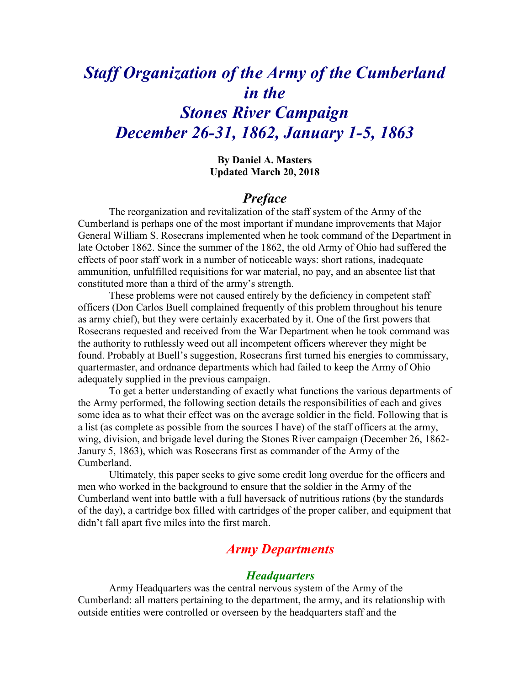# *Staff Organization of the Army of the Cumberland in the Stones River Campaign December 26-31, 1862, January 1-5, 1863*

**By Daniel A. Masters Updated March 20, 2018**

## *Preface*

The reorganization and revitalization of the staff system of the Army of the Cumberland is perhaps one of the most important if mundane improvements that Major General William S. Rosecrans implemented when he took command of the Department in late October 1862. Since the summer of the 1862, the old Army of Ohio had suffered the effects of poor staff work in a number of noticeable ways: short rations, inadequate ammunition, unfulfilled requisitions for war material, no pay, and an absentee list that constituted more than a third of the army's strength.

These problems were not caused entirely by the deficiency in competent staff officers (Don Carlos Buell complained frequently of this problem throughout his tenure as army chief), but they were certainly exacerbated by it. One of the first powers that Rosecrans requested and received from the War Department when he took command was the authority to ruthlessly weed out all incompetent officers wherever they might be found. Probably at Buell's suggestion, Rosecrans first turned his energies to commissary, quartermaster, and ordnance departments which had failed to keep the Army of Ohio adequately supplied in the previous campaign.

To get a better understanding of exactly what functions the various departments of the Army performed, the following section details the responsibilities of each and gives some idea as to what their effect was on the average soldier in the field. Following that is a list (as complete as possible from the sources I have) of the staff officers at the army, wing, division, and brigade level during the Stones River campaign (December 26, 1862- Janury 5, 1863), which was Rosecrans first as commander of the Army of the Cumberland.

Ultimately, this paper seeks to give some credit long overdue for the officers and men who worked in the background to ensure that the soldier in the Army of the Cumberland went into battle with a full haversack of nutritious rations (by the standards of the day), a cartridge box filled with cartridges of the proper caliber, and equipment that didn't fall apart five miles into the first march.

## *Army Departments*

#### *Headquarters*

Army Headquarters was the central nervous system of the Army of the Cumberland: all matters pertaining to the department, the army, and its relationship with outside entities were controlled or overseen by the headquarters staff and the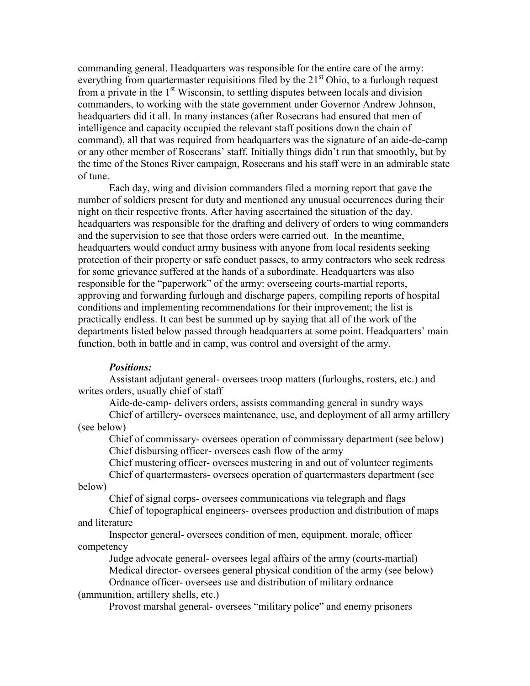commanding general. Headquarters was responsible for the entire care of the army: everything from quartermaster requisitions filed by the  $21<sup>st</sup>$  Ohio, to a furlough request from a private in the 1<sup>st</sup> Wisconsin, to settling disputes between locals and division commanders, to working with the state government under Governor Andrew Johnson, headquarters did it all. In many instances (after Rosecrans had ensured that men of intelligence and capacity occupied the relevant staff positions down the chain of command), all that was required from headquarters was the signature of an aide-de-camp or any other member of Rosecrans' staff. Initially things didn't run that smoothly, but by the time of the Stones River campaign, Rosecrans and his staff were in an admirable state of tune.

Each day, wing and division commanders filed a morning report that gave the number of soldiers present for duty and mentioned any unusual occurrences during their night on their respective fronts. After having ascertained the situation of the day, headquarters was responsible for the drafting and delivery of orders to wing commanders and the supervision to see that those orders were carried out. In the meantime, headquarters would conduct army business with anyone from local residents seeking protection of their property or safe conduct passes, to army contractors who seek redress for some grievance suffered at the hands of a subordinate. Headquarters was also responsible for the "paperwork" of the army: overseeing courts-martial reports, approving and forwarding furlough and discharge papers, compiling reports of hospital conditions and implementing recommendations for their improvement; the list is practically endless. It can best be summed up by saying that all of the work of the departments listed below passed through headquarters at some point. Headquarters' main function, both in battle and in camp, was control and oversight of the army.

#### *Positions:*

Assistant adjutant general- oversees troop matters (furloughs, rosters, etc.) and writes orders, usually chief of staff

Aide-de-camp- delivers orders, assists commanding general in sundry ways Chief of artillery- oversees maintenance, use, and deployment of all army artillery (see below)

Chief of commissary- oversees operation of commissary department (see below) Chief disbursing officer- oversees cash flow of the army

Chief mustering officer- oversees mustering in and out of volunteer regiments Chief of quartermasters- oversees operation of quartermasters department (see

below)

Chief of signal corps- oversees communications via telegraph and flags Chief of topographical engineers- oversees production and distribution of maps and literature

Inspector general- oversees condition of men, equipment, morale, officer competency

Judge advocate general- oversees legal affairs of the army (courts-martial) Medical director- oversees general physical condition of the army (see below)

Ordnance officer- oversees use and distribution of military ordnance (ammunition, artillery shells, etc.)

Provost marshal general- oversees "military police" and enemy prisoners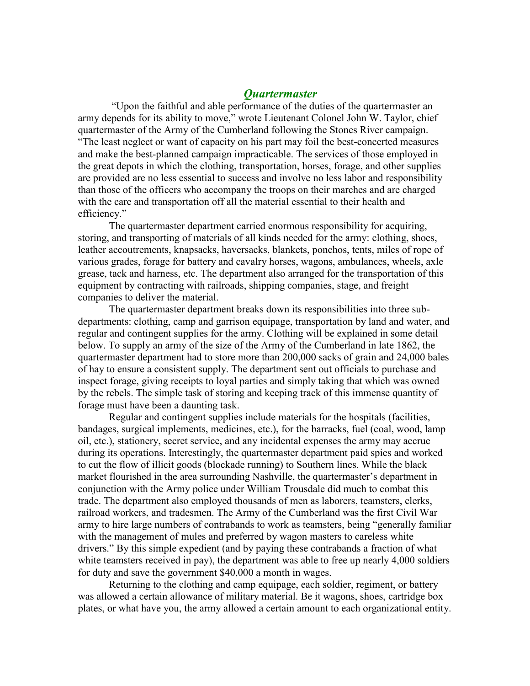### *Quartermaster*

"Upon the faithful and able performance of the duties of the quartermaster an army depends for its ability to move," wrote Lieutenant Colonel John W. Taylor, chief quartermaster of the Army of the Cumberland following the Stones River campaign. "The least neglect or want of capacity on his part may foil the best-concerted measures and make the best-planned campaign impracticable. The services of those employed in the great depots in which the clothing, transportation, horses, forage, and other supplies are provided are no less essential to success and involve no less labor and responsibility than those of the officers who accompany the troops on their marches and are charged with the care and transportation off all the material essential to their health and efficiency."

The quartermaster department carried enormous responsibility for acquiring, storing, and transporting of materials of all kinds needed for the army: clothing, shoes, leather accoutrements, knapsacks, haversacks, blankets, ponchos, tents, miles of rope of various grades, forage for battery and cavalry horses, wagons, ambulances, wheels, axle grease, tack and harness, etc. The department also arranged for the transportation of this equipment by contracting with railroads, shipping companies, stage, and freight companies to deliver the material.

The quartermaster department breaks down its responsibilities into three subdepartments: clothing, camp and garrison equipage, transportation by land and water, and regular and contingent supplies for the army. Clothing will be explained in some detail below. To supply an army of the size of the Army of the Cumberland in late 1862, the quartermaster department had to store more than 200,000 sacks of grain and 24,000 bales of hay to ensure a consistent supply. The department sent out officials to purchase and inspect forage, giving receipts to loyal parties and simply taking that which was owned by the rebels. The simple task of storing and keeping track of this immense quantity of forage must have been a daunting task.

Regular and contingent supplies include materials for the hospitals (facilities, bandages, surgical implements, medicines, etc.), for the barracks, fuel (coal, wood, lamp oil, etc.), stationery, secret service, and any incidental expenses the army may accrue during its operations. Interestingly, the quartermaster department paid spies and worked to cut the flow of illicit goods (blockade running) to Southern lines. While the black market flourished in the area surrounding Nashville, the quartermaster's department in conjunction with the Army police under William Trousdale did much to combat this trade. The department also employed thousands of men as laborers, teamsters, clerks, railroad workers, and tradesmen. The Army of the Cumberland was the first Civil War army to hire large numbers of contrabands to work as teamsters, being "generally familiar with the management of mules and preferred by wagon masters to careless white drivers." By this simple expedient (and by paying these contrabands a fraction of what white teamsters received in pay), the department was able to free up nearly 4,000 soldiers for duty and save the government \$40,000 a month in wages.

Returning to the clothing and camp equipage, each soldier, regiment, or battery was allowed a certain allowance of military material. Be it wagons, shoes, cartridge box plates, or what have you, the army allowed a certain amount to each organizational entity.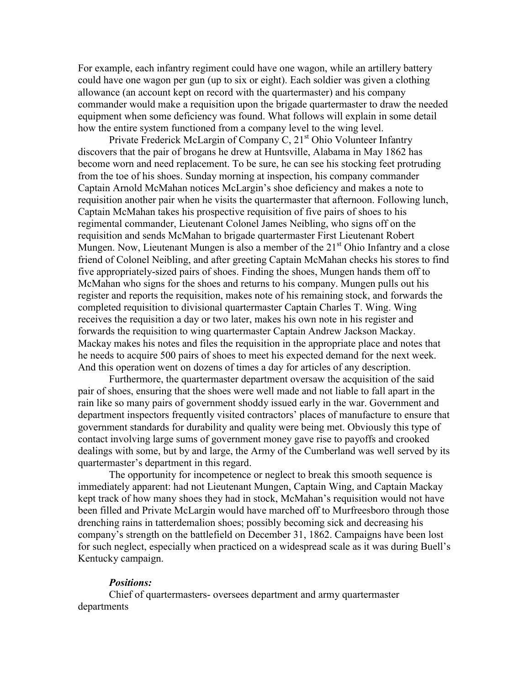For example, each infantry regiment could have one wagon, while an artillery battery could have one wagon per gun (up to six or eight). Each soldier was given a clothing allowance (an account kept on record with the quartermaster) and his company commander would make a requisition upon the brigade quartermaster to draw the needed equipment when some deficiency was found. What follows will explain in some detail how the entire system functioned from a company level to the wing level.

Private Frederick McLargin of Company C,  $21<sup>st</sup>$  Ohio Volunteer Infantry discovers that the pair of brogans he drew at Huntsville, Alabama in May 1862 has become worn and need replacement. To be sure, he can see his stocking feet protruding from the toe of his shoes. Sunday morning at inspection, his company commander Captain Arnold McMahan notices McLargin's shoe deficiency and makes a note to requisition another pair when he visits the quartermaster that afternoon. Following lunch, Captain McMahan takes his prospective requisition of five pairs of shoes to his regimental commander, Lieutenant Colonel James Neibling, who signs off on the requisition and sends McMahan to brigade quartermaster First Lieutenant Robert Mungen. Now, Lieutenant Mungen is also a member of the  $21<sup>st</sup>$  Ohio Infantry and a close friend of Colonel Neibling, and after greeting Captain McMahan checks his stores to find five appropriately-sized pairs of shoes. Finding the shoes, Mungen hands them off to McMahan who signs for the shoes and returns to his company. Mungen pulls out his register and reports the requisition, makes note of his remaining stock, and forwards the completed requisition to divisional quartermaster Captain Charles T. Wing. Wing receives the requisition a day or two later, makes his own note in his register and forwards the requisition to wing quartermaster Captain Andrew Jackson Mackay. Mackay makes his notes and files the requisition in the appropriate place and notes that he needs to acquire 500 pairs of shoes to meet his expected demand for the next week. And this operation went on dozens of times a day for articles of any description.

Furthermore, the quartermaster department oversaw the acquisition of the said pair of shoes, ensuring that the shoes were well made and not liable to fall apart in the rain like so many pairs of government shoddy issued early in the war. Government and department inspectors frequently visited contractors' places of manufacture to ensure that government standards for durability and quality were being met. Obviously this type of contact involving large sums of government money gave rise to payoffs and crooked dealings with some, but by and large, the Army of the Cumberland was well served by its quartermaster's department in this regard.

The opportunity for incompetence or neglect to break this smooth sequence is immediately apparent: had not Lieutenant Mungen, Captain Wing, and Captain Mackay kept track of how many shoes they had in stock, McMahan's requisition would not have been filled and Private McLargin would have marched off to Murfreesboro through those drenching rains in tatterdemalion shoes; possibly becoming sick and decreasing his company's strength on the battlefield on December 31, 1862. Campaigns have been lost for such neglect, especially when practiced on a widespread scale as it was during Buell's Kentucky campaign.

#### *Positions:*

Chief of quartermasters- oversees department and army quartermaster departments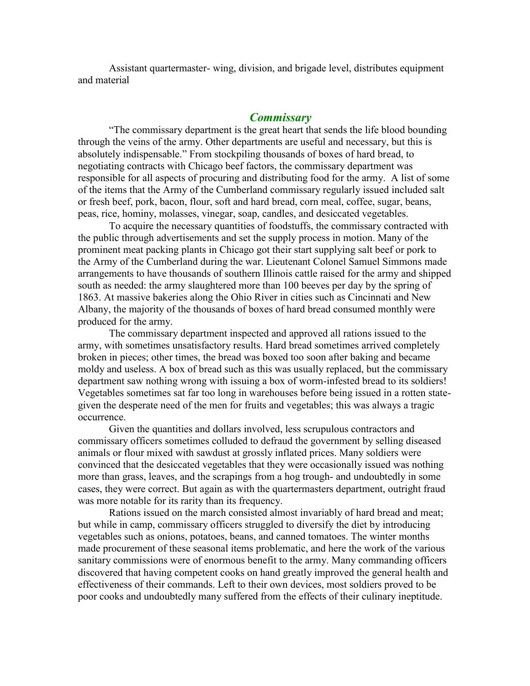Assistant quartermaster- wing, division, and brigade level, distributes equipment and material

## *Commissary*

"The commissary department is the great heart that sends the life blood bounding through the veins of the army. Other departments are useful and necessary, but this is absolutely indispensable." From stockpiling thousands of boxes of hard bread, to negotiating contracts with Chicago beef factors, the commissary department was responsible for all aspects of procuring and distributing food for the army. A list of some of the items that the Army of the Cumberland commissary regularly issued included salt or fresh beef, pork, bacon, flour, soft and hard bread, corn meal, coffee, sugar, beans, peas, rice, hominy, molasses, vinegar, soap, candles, and desiccated vegetables.

To acquire the necessary quantities of foodstuffs, the commissary contracted with the public through advertisements and set the supply process in motion. Many of the prominent meat packing plants in Chicago got their start supplying salt beef or pork to the Army of the Cumberland during the war. Lieutenant Colonel Samuel Simmons made arrangements to have thousands of southern Illinois cattle raised for the army and shipped south as needed: the army slaughtered more than 100 beeves per day by the spring of 1863. At massive bakeries along the Ohio River in cities such as Cincinnati and New Albany, the majority of the thousands of boxes of hard bread consumed monthly were produced for the army.

The commissary department inspected and approved all rations issued to the army, with sometimes unsatisfactory results. Hard bread sometimes arrived completely broken in pieces; other times, the bread was boxed too soon after baking and became moldy and useless. A box of bread such as this was usually replaced, but the commissary department saw nothing wrong with issuing a box of worm-infested bread to its soldiers! Vegetables sometimes sat far too long in warehouses before being issued in a rotten stategiven the desperate need of the men for fruits and vegetables; this was always a tragic occurrence.

Given the quantities and dollars involved, less scrupulous contractors and commissary officers sometimes colluded to defraud the government by selling diseased animals or flour mixed with sawdust at grossly inflated prices. Many soldiers were convinced that the desiccated vegetables that they were occasionally issued was nothing more than grass, leaves, and the scrapings from a hog trough- and undoubtedly in some cases, they were correct. But again as with the quartermasters department, outright fraud was more notable for its rarity than its frequency.

Rations issued on the march consisted almost invariably of hard bread and meat; but while in camp, commissary officers struggled to diversify the diet by introducing vegetables such as onions, potatoes, beans, and canned tomatoes. The winter months made procurement of these seasonal items problematic, and here the work of the various sanitary commissions were of enormous benefit to the army. Many commanding officers discovered that having competent cooks on hand greatly improved the general health and effectiveness of their commands. Left to their own devices, most soldiers proved to be poor cooks and undoubtedly many suffered from the effects of their culinary ineptitude.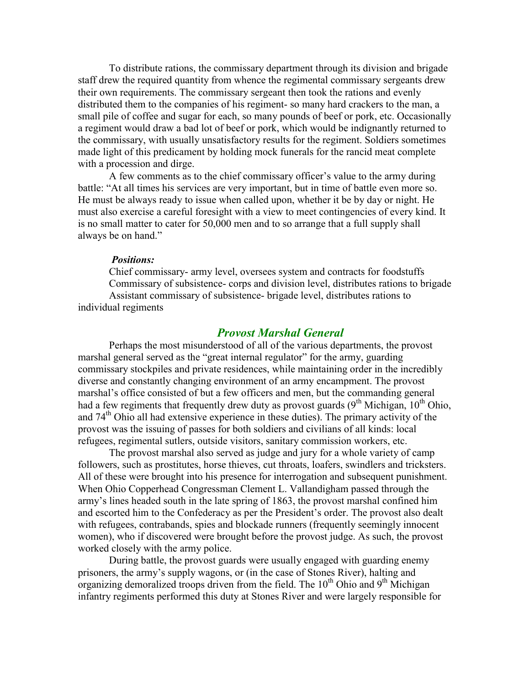To distribute rations, the commissary department through its division and brigade staff drew the required quantity from whence the regimental commissary sergeants drew their own requirements. The commissary sergeant then took the rations and evenly distributed them to the companies of his regiment- so many hard crackers to the man, a small pile of coffee and sugar for each, so many pounds of beef or pork, etc. Occasionally a regiment would draw a bad lot of beef or pork, which would be indignantly returned to the commissary, with usually unsatisfactory results for the regiment. Soldiers sometimes made light of this predicament by holding mock funerals for the rancid meat complete with a procession and dirge.

A few comments as to the chief commissary officer's value to the army during battle: "At all times his services are very important, but in time of battle even more so. He must be always ready to issue when called upon, whether it be by day or night. He must also exercise a careful foresight with a view to meet contingencies of every kind. It is no small matter to cater for 50,000 men and to so arrange that a full supply shall always be on hand."

#### *Positions:*

Chief commissary- army level, oversees system and contracts for foodstuffs Commissary of subsistence- corps and division level, distributes rations to brigade Assistant commissary of subsistence- brigade level, distributes rations to

individual regiments

## *Provost Marshal General*

Perhaps the most misunderstood of all of the various departments, the provost marshal general served as the "great internal regulator" for the army, guarding commissary stockpiles and private residences, while maintaining order in the incredibly diverse and constantly changing environment of an army encampment. The provost marshal's office consisted of but a few officers and men, but the commanding general had a few regiments that frequently drew duty as provost guards  $(9<sup>th</sup> Michigan, 10<sup>th</sup> Ohio,$ and 74<sup>th</sup> Ohio all had extensive experience in these duties). The primary activity of the provost was the issuing of passes for both soldiers and civilians of all kinds: local refugees, regimental sutlers, outside visitors, sanitary commission workers, etc.

The provost marshal also served as judge and jury for a whole variety of camp followers, such as prostitutes, horse thieves, cut throats, loafers, swindlers and tricksters. All of these were brought into his presence for interrogation and subsequent punishment. When Ohio Copperhead Congressman Clement L. Vallandigham passed through the army's lines headed south in the late spring of 1863, the provost marshal confined him and escorted him to the Confederacy as per the President's order. The provost also dealt with refugees, contrabands, spies and blockade runners (frequently seemingly innocent women), who if discovered were brought before the provost judge. As such, the provost worked closely with the army police.

During battle, the provost guards were usually engaged with guarding enemy prisoners, the army's supply wagons, or (in the case of Stones River), halting and organizing demoralized troops driven from the field. The  $10<sup>th</sup>$  Ohio and  $9<sup>th</sup>$  Michigan infantry regiments performed this duty at Stones River and were largely responsible for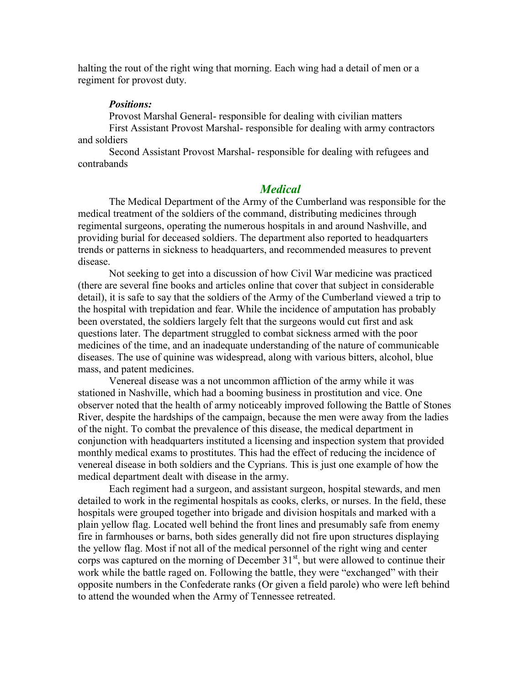halting the rout of the right wing that morning. Each wing had a detail of men or a regiment for provost duty.

#### *Positions:*

Provost Marshal General- responsible for dealing with civilian matters First Assistant Provost Marshal- responsible for dealing with army contractors and soldiers

Second Assistant Provost Marshal- responsible for dealing with refugees and contrabands

## *Medical*

The Medical Department of the Army of the Cumberland was responsible for the medical treatment of the soldiers of the command, distributing medicines through regimental surgeons, operating the numerous hospitals in and around Nashville, and providing burial for deceased soldiers. The department also reported to headquarters trends or patterns in sickness to headquarters, and recommended measures to prevent disease.

Not seeking to get into a discussion of how Civil War medicine was practiced (there are several fine books and articles online that cover that subject in considerable detail), it is safe to say that the soldiers of the Army of the Cumberland viewed a trip to the hospital with trepidation and fear. While the incidence of amputation has probably been overstated, the soldiers largely felt that the surgeons would cut first and ask questions later. The department struggled to combat sickness armed with the poor medicines of the time, and an inadequate understanding of the nature of communicable diseases. The use of quinine was widespread, along with various bitters, alcohol, blue mass, and patent medicines.

Venereal disease was a not uncommon affliction of the army while it was stationed in Nashville, which had a booming business in prostitution and vice. One observer noted that the health of army noticeably improved following the Battle of Stones River, despite the hardships of the campaign, because the men were away from the ladies of the night. To combat the prevalence of this disease, the medical department in conjunction with headquarters instituted a licensing and inspection system that provided monthly medical exams to prostitutes. This had the effect of reducing the incidence of venereal disease in both soldiers and the Cyprians. This is just one example of how the medical department dealt with disease in the army.

Each regiment had a surgeon, and assistant surgeon, hospital stewards, and men detailed to work in the regimental hospitals as cooks, clerks, or nurses. In the field, these hospitals were grouped together into brigade and division hospitals and marked with a plain yellow flag. Located well behind the front lines and presumably safe from enemy fire in farmhouses or barns, both sides generally did not fire upon structures displaying the yellow flag. Most if not all of the medical personnel of the right wing and center corps was captured on the morning of December  $31<sup>st</sup>$ , but were allowed to continue their work while the battle raged on. Following the battle, they were "exchanged" with their opposite numbers in the Confederate ranks (Or given a field parole) who were left behind to attend the wounded when the Army of Tennessee retreated.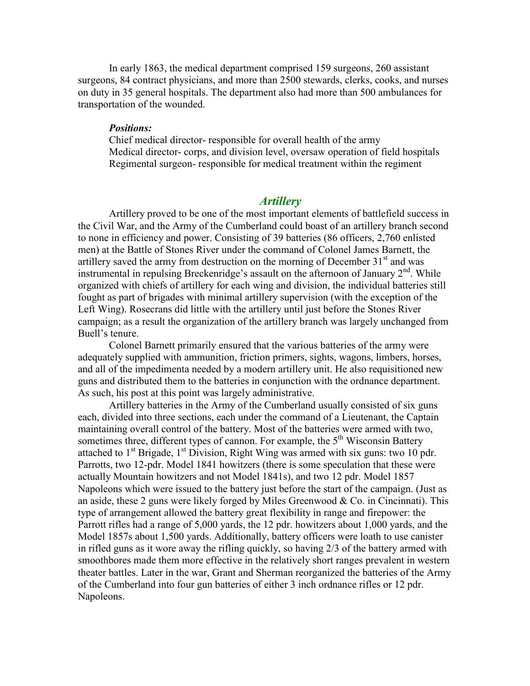In early 1863, the medical department comprised 159 surgeons, 260 assistant surgeons, 84 contract physicians, and more than 2500 stewards, clerks, cooks, and nurses on duty in 35 general hospitals. The department also had more than 500 ambulances for transportation of the wounded.

#### *Positions:*

Chief medical director- responsible for overall health of the army Medical director- corps, and division level, oversaw operation of field hospitals Regimental surgeon- responsible for medical treatment within the regiment

### *Artillery*

Artillery proved to be one of the most important elements of battlefield success in the Civil War, and the Army of the Cumberland could boast of an artillery branch second to none in efficiency and power. Consisting of 39 batteries (86 officers, 2,760 enlisted men) at the Battle of Stones River under the command of Colonel James Barnett, the artillery saved the army from destruction on the morning of December  $31<sup>st</sup>$  and was instrumental in repulsing Breckenridge's assault on the afternoon of January  $2<sup>nd</sup>$ . While organized with chiefs of artillery for each wing and division, the individual batteries still fought as part of brigades with minimal artillery supervision (with the exception of the Left Wing). Rosecrans did little with the artillery until just before the Stones River campaign; as a result the organization of the artillery branch was largely unchanged from Buell's tenure.

Colonel Barnett primarily ensured that the various batteries of the army were adequately supplied with ammunition, friction primers, sights, wagons, limbers, horses, and all of the impedimenta needed by a modern artillery unit. He also requisitioned new guns and distributed them to the batteries in conjunction with the ordnance department. As such, his post at this point was largely administrative.

Artillery batteries in the Army of the Cumberland usually consisted of six guns each, divided into three sections, each under the command of a Lieutenant, the Captain maintaining overall control of the battery. Most of the batteries were armed with two, sometimes three, different types of cannon. For example, the  $5<sup>th</sup>$  Wisconsin Battery attached to  $1<sup>st</sup>$  Brigade,  $1<sup>st</sup>$  Division, Right Wing was armed with six guns: two 10 pdr. Parrotts, two 12-pdr. Model 1841 howitzers (there is some speculation that these were actually Mountain howitzers and not Model 1841s), and two 12 pdr. Model 1857 Napoleons which were issued to the battery just before the start of the campaign. (Just as an aside, these 2 guns were likely forged by Miles Greenwood  $& Co.$  in Cincinnati). This type of arrangement allowed the battery great flexibility in range and firepower: the Parrott rifles had a range of 5,000 yards, the 12 pdr. howitzers about 1,000 yards, and the Model 1857s about 1,500 yards. Additionally, battery officers were loath to use canister in rifled guns as it wore away the rifling quickly, so having 2/3 of the battery armed with smoothbores made them more effective in the relatively short ranges prevalent in western theater battles. Later in the war, Grant and Sherman reorganized the batteries of the Army of the Cumberland into four gun batteries of either 3 inch ordnance rifles or 12 pdr. Napoleons.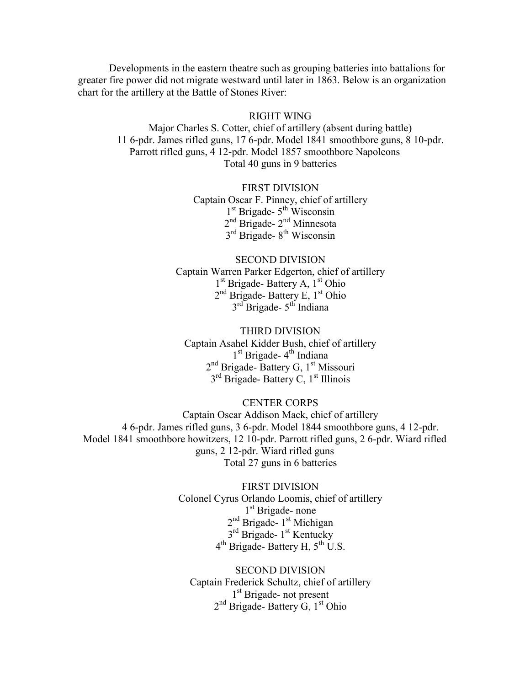Developments in the eastern theatre such as grouping batteries into battalions for greater fire power did not migrate westward until later in 1863. Below is an organization chart for the artillery at the Battle of Stones River:

#### RIGHT WING

Major Charles S. Cotter, chief of artillery (absent during battle) 11 6-pdr. James rifled guns, 17 6-pdr. Model 1841 smoothbore guns, 8 10-pdr. Parrott rifled guns, 4 12-pdr. Model 1857 smoothbore Napoleons Total 40 guns in 9 batteries

## FIRST DIVISION

Captain Oscar F. Pinney, chief of artillery 1<sup>st</sup> Brigade- 5<sup>th</sup> Wisconsin 2<sup>nd</sup> Brigade- 2<sup>nd</sup> Minnesota 3<sup>rd</sup> Brigade- 8<sup>th</sup> Wisconsin

### SECOND DIVISION

Captain Warren Parker Edgerton, chief of artillery 1<sup>st</sup> Brigade- Battery A, 1<sup>st</sup> Ohio 2<sup>nd</sup> Brigade- Battery E, 1<sup>st</sup> Ohio 3<sup>rd</sup> Brigade- 5<sup>th</sup> Indiana

#### THIRD DIVISION

Captain Asahel Kidder Bush, chief of artillery 1<sup>st</sup> Brigade- 4<sup>th</sup> Indiana 2<sup>nd</sup> Brigade- Battery G, 1<sup>st</sup> Missouri 3<sup>rd</sup> Brigade- Battery C, 1<sup>st</sup> Illinois

#### CENTER CORPS

Captain Oscar Addison Mack, chief of artillery 4 6-pdr. James rifled guns, 3 6-pdr. Model 1844 smoothbore guns, 4 12-pdr. Model 1841 smoothbore howitzers, 12 10-pdr. Parrott rifled guns, 2 6-pdr. Wiard rifled guns, 2 12-pdr. Wiard rifled guns Total 27 guns in 6 batteries

> FIRST DIVISION Colonel Cyrus Orlando Loomis, chief of artillery 1<sup>st</sup> Brigade- none 2<sup>nd</sup> Brigade- 1<sup>st</sup> Michigan 3<sup>rd</sup> Brigade- 1<sup>st</sup> Kentucky 4<sup>th</sup> Brigade- Battery H, 5<sup>th</sup> U.S.

SECOND DIVISION Captain Frederick Schultz, chief of artillery 1<sup>st</sup> Brigade- not present 2<sup>nd</sup> Brigade- Battery G, 1<sup>st</sup> Ohio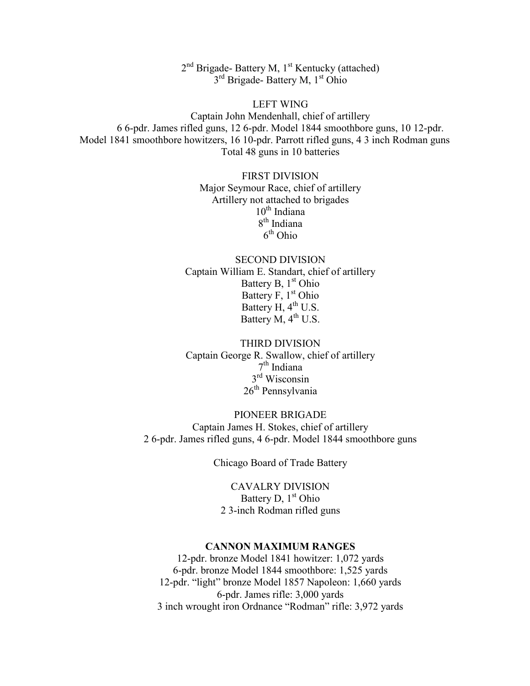2<sup>nd</sup> Brigade- Battery M, 1<sup>st</sup> Kentucky (attached) 3<sup>rd</sup> Brigade- Battery M, 1<sup>st</sup> Ohio

LEFT WING Captain John Mendenhall, chief of artillery 6 6-pdr. James rifled guns, 12 6-pdr. Model 1844 smoothbore guns, 10 12-pdr. Model 1841 smoothbore howitzers, 16 10-pdr. Parrott rifled guns, 4 3 inch Rodman guns Total 48 guns in 10 batteries

> FIRST DIVISION Major Seymour Race, chief of artillery Artillery not attached to brigades  $10<sup>th</sup>$  Indiana 8<sup>th</sup> Indiana 6<sup>th</sup> Ohio

SECOND DIVISION Captain William E. Standart, chief of artillery Battery B, 1<sup>st</sup> Ohio Battery F, 1<sup>st</sup> Ohio Battery  $H, 4<sup>th</sup>$  U.S. Battery  $M$ ,  $4^{th}$  U.S.

THIRD DIVISION Captain George R. Swallow, chief of artillery 7 th Indiana 3<sup>rd</sup> Wisconsin 26<sup>th</sup> Pennsylvania

PIONEER BRIGADE Captain James H. Stokes, chief of artillery 2 6-pdr. James rifled guns, 4 6-pdr. Model 1844 smoothbore guns

Chicago Board of Trade Battery

CAVALRY DIVISION Battery D,  $1<sup>st</sup> Ohio$ 2 3-inch Rodman rifled guns

#### **CANNON MAXIMUM RANGES**

12-pdr. bronze Model 1841 howitzer: 1,072 yards 6-pdr. bronze Model 1844 smoothbore: 1,525 yards 12-pdr. "light" bronze Model 1857 Napoleon: 1,660 yards 6-pdr. James rifle: 3,000 yards 3 inch wrought iron Ordnance "Rodman" rifle: 3,972 yards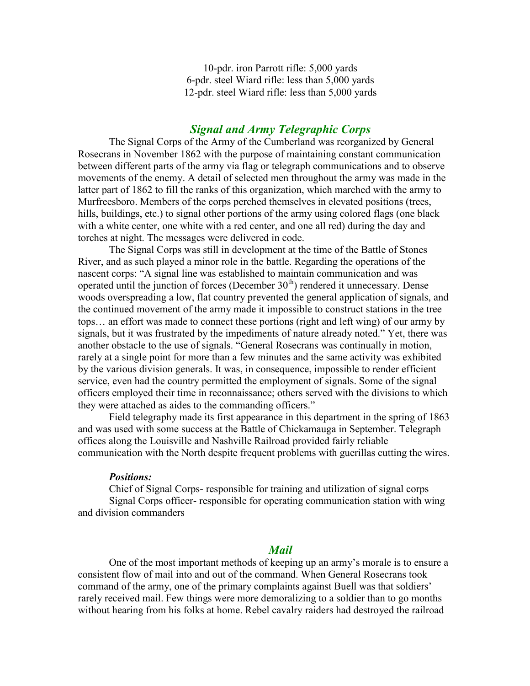10-pdr. iron Parrott rifle: 5,000 yards 6-pdr. steel Wiard rifle: less than 5,000 yards 12-pdr. steel Wiard rifle: less than 5,000 yards

## *Signal and Army Telegraphic Corps*

The Signal Corps of the Army of the Cumberland was reorganized by General Rosecrans in November 1862 with the purpose of maintaining constant communication between different parts of the army via flag or telegraph communications and to observe movements of the enemy. A detail of selected men throughout the army was made in the latter part of 1862 to fill the ranks of this organization, which marched with the army to Murfreesboro. Members of the corps perched themselves in elevated positions (trees, hills, buildings, etc.) to signal other portions of the army using colored flags (one black with a white center, one white with a red center, and one all red) during the day and torches at night. The messages were delivered in code.

The Signal Corps was still in development at the time of the Battle of Stones River, and as such played a minor role in the battle. Regarding the operations of the nascent corps: "A signal line was established to maintain communication and was operated until the junction of forces (December  $30<sup>th</sup>$ ) rendered it unnecessary. Dense woods overspreading a low, flat country prevented the general application of signals, and the continued movement of the army made it impossible to construct stations in the tree tops… an effort was made to connect these portions (right and left wing) of our army by signals, but it was frustrated by the impediments of nature already noted." Yet, there was another obstacle to the use of signals. "General Rosecrans was continually in motion, rarely at a single point for more than a few minutes and the same activity was exhibited by the various division generals. It was, in consequence, impossible to render efficient service, even had the country permitted the employment of signals. Some of the signal officers employed their time in reconnaissance; others served with the divisions to which they were attached as aides to the commanding officers."

Field telegraphy made its first appearance in this department in the spring of 1863 and was used with some success at the Battle of Chickamauga in September. Telegraph offices along the Louisville and Nashville Railroad provided fairly reliable communication with the North despite frequent problems with guerillas cutting the wires.

#### *Positions:*

Chief of Signal Corps- responsible for training and utilization of signal corps Signal Corps officer- responsible for operating communication station with wing and division commanders

## *Mail*

One of the most important methods of keeping up an army's morale is to ensure a consistent flow of mail into and out of the command. When General Rosecrans took command of the army, one of the primary complaints against Buell was that soldiers' rarely received mail. Few things were more demoralizing to a soldier than to go months without hearing from his folks at home. Rebel cavalry raiders had destroyed the railroad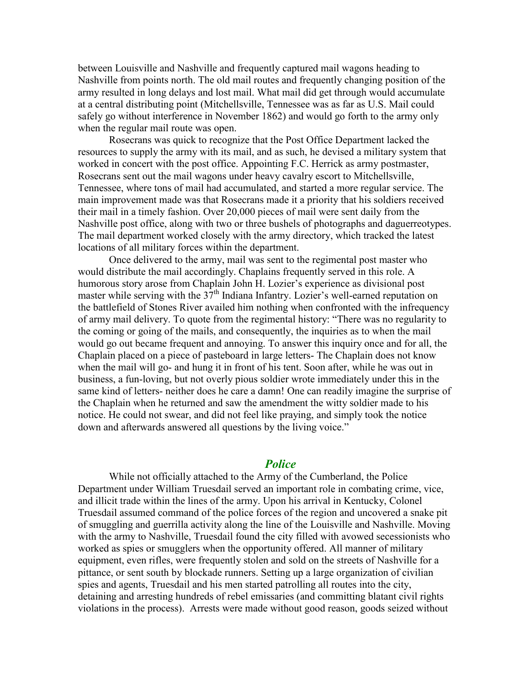between Louisville and Nashville and frequently captured mail wagons heading to Nashville from points north. The old mail routes and frequently changing position of the army resulted in long delays and lost mail. What mail did get through would accumulate at a central distributing point (Mitchellsville, Tennessee was as far as U.S. Mail could safely go without interference in November 1862) and would go forth to the army only when the regular mail route was open.

Rosecrans was quick to recognize that the Post Office Department lacked the resources to supply the army with its mail, and as such, he devised a military system that worked in concert with the post office. Appointing F.C. Herrick as army postmaster, Rosecrans sent out the mail wagons under heavy cavalry escort to Mitchellsville, Tennessee, where tons of mail had accumulated, and started a more regular service. The main improvement made was that Rosecrans made it a priority that his soldiers received their mail in a timely fashion. Over 20,000 pieces of mail were sent daily from the Nashville post office, along with two or three bushels of photographs and daguerreotypes. The mail department worked closely with the army directory, which tracked the latest locations of all military forces within the department.

Once delivered to the army, mail was sent to the regimental post master who would distribute the mail accordingly. Chaplains frequently served in this role. A humorous story arose from Chaplain John H. Lozier's experience as divisional post master while serving with the  $37<sup>th</sup>$  Indiana Infantry. Lozier's well-earned reputation on the battlefield of Stones River availed him nothing when confronted with the infrequency of army mail delivery. To quote from the regimental history: "There was no regularity to the coming or going of the mails, and consequently, the inquiries as to when the mail would go out became frequent and annoying. To answer this inquiry once and for all, the Chaplain placed on a piece of pasteboard in large letters- The Chaplain does not know when the mail will go- and hung it in front of his tent. Soon after, while he was out in business, a fun-loving, but not overly pious soldier wrote immediately under this in the same kind of letters- neither does he care a damn! One can readily imagine the surprise of the Chaplain when he returned and saw the amendment the witty soldier made to his notice. He could not swear, and did not feel like praying, and simply took the notice down and afterwards answered all questions by the living voice."

## *Police*

While not officially attached to the Army of the Cumberland, the Police Department under William Truesdail served an important role in combating crime, vice, and illicit trade within the lines of the army. Upon his arrival in Kentucky, Colonel Truesdail assumed command of the police forces of the region and uncovered a snake pit of smuggling and guerrilla activity along the line of the Louisville and Nashville. Moving with the army to Nashville, Truesdail found the city filled with avowed secessionists who worked as spies or smugglers when the opportunity offered. All manner of military equipment, even rifles, were frequently stolen and sold on the streets of Nashville for a pittance, or sent south by blockade runners. Setting up a large organization of civilian spies and agents, Truesdail and his men started patrolling all routes into the city, detaining and arresting hundreds of rebel emissaries (and committing blatant civil rights violations in the process). Arrests were made without good reason, goods seized without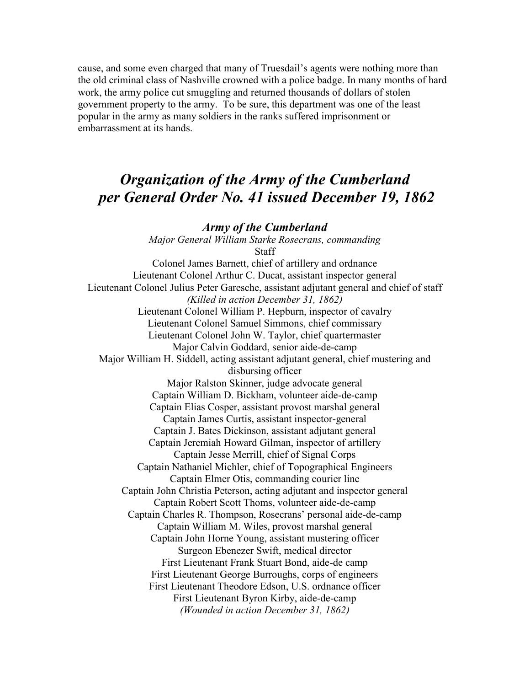cause, and some even charged that many of Truesdail's agents were nothing more than the old criminal class of Nashville crowned with a police badge. In many months of hard work, the army police cut smuggling and returned thousands of dollars of stolen government property to the army. To be sure, this department was one of the least popular in the army as many soldiers in the ranks suffered imprisonment or embarrassment at its hands.

# *Organization of the Army of the Cumberland per General Order No. 41 issued December 19, 1862*

#### *Army of the Cumberland*

*Major General William Starke Rosecrans, commanding* **Staff** Colonel James Barnett, chief of artillery and ordnance Lieutenant Colonel Arthur C. Ducat, assistant inspector general Lieutenant Colonel Julius Peter Garesche, assistant adjutant general and chief of staff *(Killed in action December 31, 1862)* Lieutenant Colonel William P. Hepburn, inspector of cavalry Lieutenant Colonel Samuel Simmons, chief commissary Lieutenant Colonel John W. Taylor, chief quartermaster Major Calvin Goddard, senior aide-de-camp Major William H. Siddell, acting assistant adjutant general, chief mustering and disbursing officer Major Ralston Skinner, judge advocate general Captain William D. Bickham, volunteer aide-de-camp Captain Elias Cosper, assistant provost marshal general Captain James Curtis, assistant inspector-general Captain J. Bates Dickinson, assistant adjutant general Captain Jeremiah Howard Gilman, inspector of artillery Captain Jesse Merrill, chief of Signal Corps Captain Nathaniel Michler, chief of Topographical Engineers Captain Elmer Otis, commanding courier line Captain John Christia Peterson, acting adjutant and inspector general Captain Robert Scott Thoms, volunteer aide-de-camp Captain Charles R. Thompson, Rosecrans' personal aide-de-camp Captain William M. Wiles, provost marshal general Captain John Horne Young, assistant mustering officer Surgeon Ebenezer Swift, medical director First Lieutenant Frank Stuart Bond, aide-de camp First Lieutenant George Burroughs, corps of engineers First Lieutenant Theodore Edson, U.S. ordnance officer First Lieutenant Byron Kirby, aide-de-camp *(Wounded in action December 31, 1862)*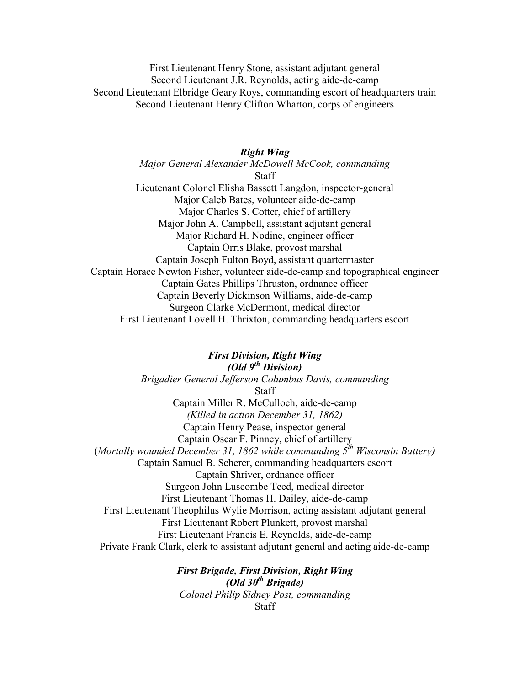First Lieutenant Henry Stone, assistant adjutant general Second Lieutenant J.R. Reynolds, acting aide-de-camp Second Lieutenant Elbridge Geary Roys, commanding escort of headquarters train Second Lieutenant Henry Clifton Wharton, corps of engineers

## *Right Wing Major General Alexander McDowell McCook, commanding* **Staff** Lieutenant Colonel Elisha Bassett Langdon, inspector-general Major Caleb Bates, volunteer aide-de-camp Major Charles S. Cotter, chief of artillery Major John A. Campbell, assistant adjutant general Major Richard H. Nodine, engineer officer Captain Orris Blake, provost marshal Captain Joseph Fulton Boyd, assistant quartermaster Captain Horace Newton Fisher, volunteer aide-de-camp and topographical engineer Captain Gates Phillips Thruston, ordnance officer Captain Beverly Dickinson Williams, aide-de-camp Surgeon Clarke McDermont, medical director First Lieutenant Lovell H. Thrixton, commanding headquarters escort

## *First Division, Right Wing (Old 9th Division) Brigadier General Jefferson Columbus Davis, commanding* Staff Captain Miller R. McCulloch, aide-de-camp *(Killed in action December 31, 1862)* Captain Henry Pease, inspector general Captain Oscar F. Pinney, chief of artillery (*Mortally wounded December 31, 1862 while commanding 5th Wisconsin Battery)* Captain Samuel B. Scherer, commanding headquarters escort Captain Shriver, ordnance officer Surgeon John Luscombe Teed, medical director First Lieutenant Thomas H. Dailey, aide-de-camp First Lieutenant Theophilus Wylie Morrison, acting assistant adjutant general First Lieutenant Robert Plunkett, provost marshal First Lieutenant Francis E. Reynolds, aide-de-camp Private Frank Clark, clerk to assistant adjutant general and acting aide-de-camp

*First Brigade, First Division, Right Wing (Old 30th Brigade) Colonel Philip Sidney Post, commanding* **Staff**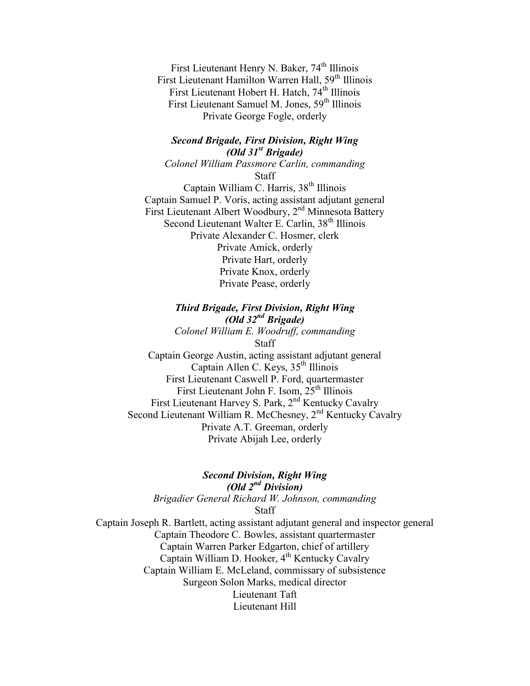First Lieutenant Henry N. Baker, 74<sup>th</sup> Illinois First Lieutenant Hamilton Warren Hall, 59<sup>th</sup> Illinois First Lieutenant Hobert H. Hatch, 74<sup>th</sup> Illinois First Lieutenant Samuel M. Jones, 59<sup>th</sup> Illinois Private George Fogle, orderly

## *Second Brigade, First Division, Right Wing (Old 31st Brigade)*

*Colonel William Passmore Carlin, commanding* Staff

Captain William C. Harris,  $38<sup>th</sup>$  Illinois Captain Samuel P. Voris, acting assistant adjutant general First Lieutenant Albert Woodbury, 2<sup>nd</sup> Minnesota Battery Second Lieutenant Walter E. Carlin, 38<sup>th</sup> Illinois Private Alexander C. Hosmer, clerk Private Amick, orderly Private Hart, orderly Private Knox, orderly Private Pease, orderly

## *Third Brigade, First Division, Right Wing (Old 32nd Brigade)*

*Colonel William E. Woodruff, commanding* Staff Captain George Austin, acting assistant adjutant general Captain Allen C. Keys,  $35<sup>th</sup>$  Illinois First Lieutenant Caswell P. Ford, quartermaster First Lieutenant John F. Isom, 25<sup>th</sup> Illinois First Lieutenant Harvey S. Park, 2<sup>nd</sup> Kentucky Cavalry Second Lieutenant William R. McChesney, 2<sup>nd</sup> Kentucky Cavalry Private A.T. Greeman, orderly Private Abijah Lee, orderly

## *Second Division, Right Wing (Old 2nd Division) Brigadier General Richard W. Johnson, commanding* **Staff**

Captain Joseph R. Bartlett, acting assistant adjutant general and inspector general Captain Theodore C. Bowles, assistant quartermaster Captain Warren Parker Edgarton, chief of artillery Captain William D. Hooker, 4<sup>th</sup> Kentucky Cavalry Captain William E. McLeland, commissary of subsistence Surgeon Solon Marks, medical director Lieutenant Taft Lieutenant Hill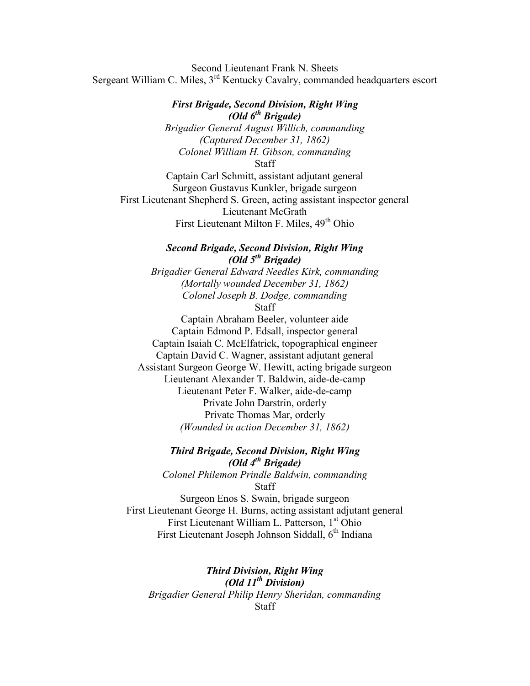Second Lieutenant Frank N. Sheets Sergeant William C. Miles,  $3<sup>rd</sup>$  Kentucky Cavalry, commanded headquarters escort

## *First Brigade, Second Division, Right Wing (Old 6th Brigade)*

*Brigadier General August Willich, commanding (Captured December 31, 1862) Colonel William H. Gibson, commanding*

**Staff** 

Captain Carl Schmitt, assistant adjutant general Surgeon Gustavus Kunkler, brigade surgeon First Lieutenant Shepherd S. Green, acting assistant inspector general Lieutenant McGrath First Lieutenant Milton F. Miles,  $49<sup>th</sup>$  Ohio

## *Second Brigade, Second Division, Right Wing (Old 5th Brigade)*

*Brigadier General Edward Needles Kirk, commanding (Mortally wounded December 31, 1862) Colonel Joseph B. Dodge, commanding*

**Staff** 

Captain Abraham Beeler, volunteer aide Captain Edmond P. Edsall, inspector general Captain Isaiah C. McElfatrick, topographical engineer Captain David C. Wagner, assistant adjutant general Assistant Surgeon George W. Hewitt, acting brigade surgeon Lieutenant Alexander T. Baldwin, aide-de-camp Lieutenant Peter F. Walker, aide-de-camp Private John Darstrin, orderly Private Thomas Mar, orderly *(Wounded in action December 31, 1862)*

## *Third Brigade, Second Division, Right Wing (Old 4th Brigade)*

*Colonel Philemon Prindle Baldwin, commanding* **Staff** 

Surgeon Enos S. Swain, brigade surgeon First Lieutenant George H. Burns, acting assistant adjutant general First Lieutenant William L. Patterson, 1<sup>st</sup> Ohio First Lieutenant Joseph Johnson Siddall,  $6<sup>th</sup>$  Indiana

*Third Division, Right Wing (Old 11th Division) Brigadier General Philip Henry Sheridan, commanding* **Staff**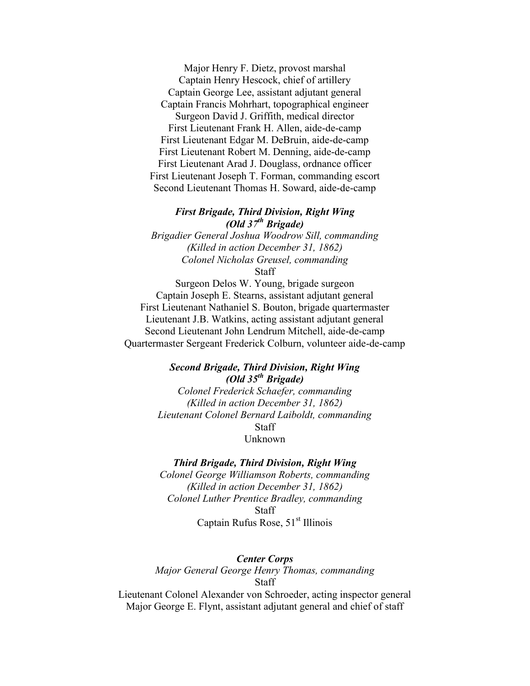Major Henry F. Dietz, provost marshal Captain Henry Hescock, chief of artillery Captain George Lee, assistant adjutant general Captain Francis Mohrhart, topographical engineer Surgeon David J. Griffith, medical director First Lieutenant Frank H. Allen, aide-de-camp First Lieutenant Edgar M. DeBruin, aide-de-camp First Lieutenant Robert M. Denning, aide-de-camp First Lieutenant Arad J. Douglass, ordnance officer First Lieutenant Joseph T. Forman, commanding escort Second Lieutenant Thomas H. Soward, aide-de-camp

## *First Brigade, Third Division, Right Wing (Old 37th Brigade)*

*Brigadier General Joshua Woodrow Sill, commanding (Killed in action December 31, 1862) Colonel Nicholas Greusel, commanding* **Staff** 

Surgeon Delos W. Young, brigade surgeon Captain Joseph E. Stearns, assistant adjutant general First Lieutenant Nathaniel S. Bouton, brigade quartermaster Lieutenant J.B. Watkins, acting assistant adjutant general Second Lieutenant John Lendrum Mitchell, aide-de-camp

## Quartermaster Sergeant Frederick Colburn, volunteer aide-de-camp

## *Second Brigade, Third Division, Right Wing (Old 35th Brigade)*

*Colonel Frederick Schaefer, commanding (Killed in action December 31, 1862) Lieutenant Colonel Bernard Laiboldt, commanding* **Staff** Unknown

#### *Third Brigade, Third Division, Right Wing*

*Colonel George Williamson Roberts, commanding (Killed in action December 31, 1862) Colonel Luther Prentice Bradley, commanding* **Staff** Captain Rufus Rose,  $51<sup>st</sup>$  Illinois

## *Center Corps Major General George Henry Thomas, commanding* Staff

Lieutenant Colonel Alexander von Schroeder, acting inspector general Major George E. Flynt, assistant adjutant general and chief of staff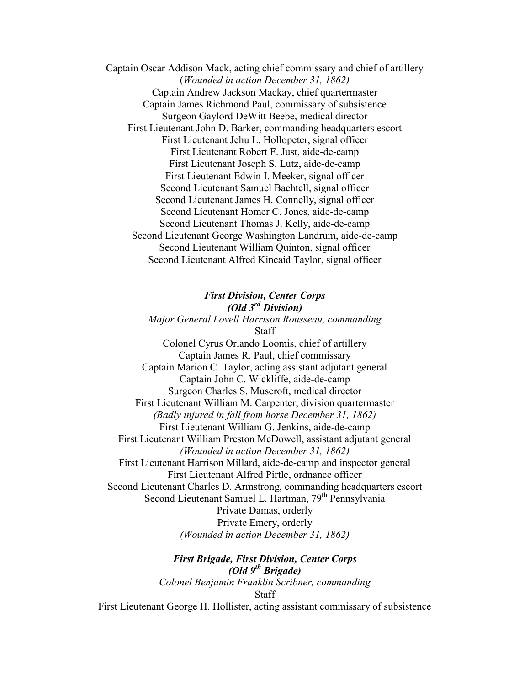Captain Oscar Addison Mack, acting chief commissary and chief of artillery (*Wounded in action December 31, 1862)* Captain Andrew Jackson Mackay, chief quartermaster Captain James Richmond Paul, commissary of subsistence Surgeon Gaylord DeWitt Beebe, medical director First Lieutenant John D. Barker, commanding headquarters escort First Lieutenant Jehu L. Hollopeter, signal officer First Lieutenant Robert F. Just, aide-de-camp First Lieutenant Joseph S. Lutz, aide-de-camp First Lieutenant Edwin I. Meeker, signal officer Second Lieutenant Samuel Bachtell, signal officer Second Lieutenant James H. Connelly, signal officer Second Lieutenant Homer C. Jones, aide-de-camp Second Lieutenant Thomas J. Kelly, aide-de-camp Second Lieutenant George Washington Landrum, aide-de-camp Second Lieutenant William Quinton, signal officer Second Lieutenant Alfred Kincaid Taylor, signal officer

*First Division, Center Corps (Old 3rd Division) Major General Lovell Harrison Rousseau, commanding* Staff Colonel Cyrus Orlando Loomis, chief of artillery Captain James R. Paul, chief commissary Captain Marion C. Taylor, acting assistant adjutant general Captain John C. Wickliffe, aide-de-camp Surgeon Charles S. Muscroft, medical director First Lieutenant William M. Carpenter, division quartermaster *(Badly injured in fall from horse December 31, 1862)* First Lieutenant William G. Jenkins, aide-de-camp First Lieutenant William Preston McDowell, assistant adjutant general *(Wounded in action December 31, 1862)* First Lieutenant Harrison Millard, aide-de-camp and inspector general First Lieutenant Alfred Pirtle, ordnance officer Second Lieutenant Charles D. Armstrong, commanding headquarters escort Second Lieutenant Samuel L. Hartman, 79<sup>th</sup> Pennsylvania Private Damas, orderly Private Emery, orderly *(Wounded in action December 31, 1862)*

> *First Brigade, First Division, Center Corps (Old 9th Brigade) Colonel Benjamin Franklin Scribner, commanding* Staff

First Lieutenant George H. Hollister, acting assistant commissary of subsistence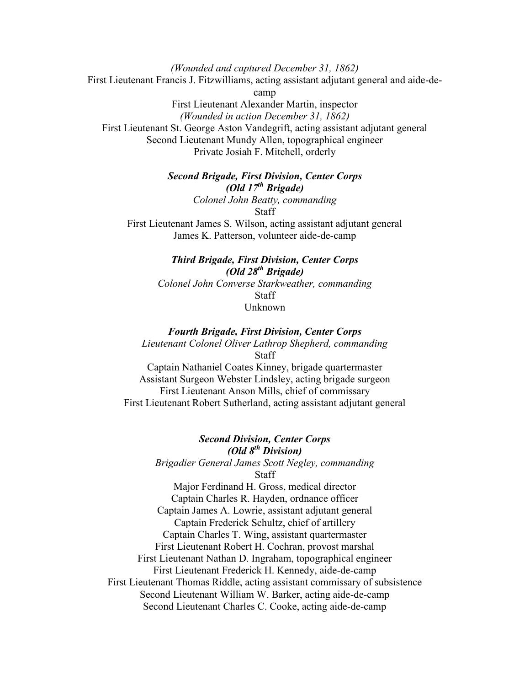*(Wounded and captured December 31, 1862)* First Lieutenant Francis J. Fitzwilliams, acting assistant adjutant general and aide-decamp First Lieutenant Alexander Martin, inspector *(Wounded in action December 31, 1862)*

First Lieutenant St. George Aston Vandegrift, acting assistant adjutant general Second Lieutenant Mundy Allen, topographical engineer Private Josiah F. Mitchell, orderly

> *Second Brigade, First Division, Center Corps (Old 17th Brigade) Colonel John Beatty, commanding* Staff

First Lieutenant James S. Wilson, acting assistant adjutant general James K. Patterson, volunteer aide-de-camp

> *Third Brigade, First Division, Center Corps (Old 28th Brigade) Colonel John Converse Starkweather, commanding* **Staff** Unknown

#### *Fourth Brigade, First Division, Center Corps*

*Lieutenant Colonel Oliver Lathrop Shepherd, commanding* Staff

Captain Nathaniel Coates Kinney, brigade quartermaster Assistant Surgeon Webster Lindsley, acting brigade surgeon First Lieutenant Anson Mills, chief of commissary First Lieutenant Robert Sutherland, acting assistant adjutant general

## *Second Division, Center Corps*

## *(Old 8th Division)*

*Brigadier General James Scott Negley, commanding* **Staff** 

Major Ferdinand H. Gross, medical director Captain Charles R. Hayden, ordnance officer Captain James A. Lowrie, assistant adjutant general Captain Frederick Schultz, chief of artillery Captain Charles T. Wing, assistant quartermaster First Lieutenant Robert H. Cochran, provost marshal First Lieutenant Nathan D. Ingraham, topographical engineer First Lieutenant Frederick H. Kennedy, aide-de-camp First Lieutenant Thomas Riddle, acting assistant commissary of subsistence Second Lieutenant William W. Barker, acting aide-de-camp Second Lieutenant Charles C. Cooke, acting aide-de-camp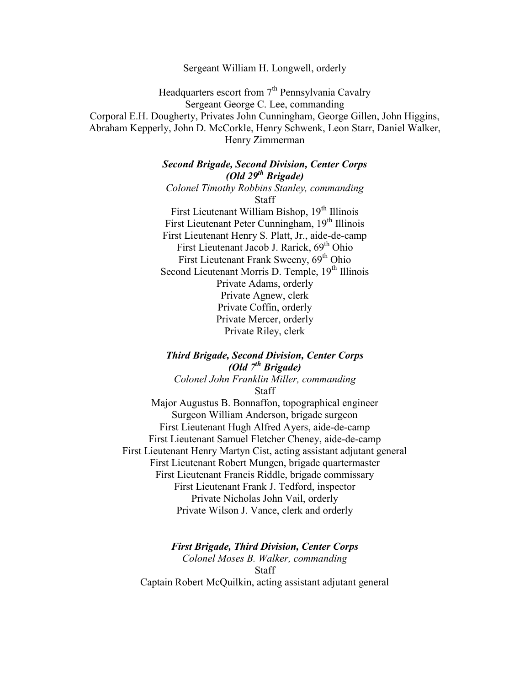Sergeant William H. Longwell, orderly

Headquarters escort from  $7<sup>th</sup>$  Pennsylvania Cavalry Sergeant George C. Lee, commanding Corporal E.H. Dougherty, Privates John Cunningham, George Gillen, John Higgins, Abraham Kepperly, John D. McCorkle, Henry Schwenk, Leon Starr, Daniel Walker, Henry Zimmerman

> *Second Brigade, Second Division, Center Corps (Old 29th Brigade) Colonel Timothy Robbins Stanley, commanding* Staff First Lieutenant William Bishop, 19<sup>th</sup> Illinois First Lieutenant Peter Cunningham, 19<sup>th</sup> Illinois First Lieutenant Henry S. Platt, Jr., aide-de-camp First Lieutenant Jacob J. Rarick, 69<sup>th</sup> Ohio First Lieutenant Frank Sweeny, 69<sup>th</sup> Ohio Second Lieutenant Morris D. Temple, 19<sup>th</sup> Illinois Private Adams, orderly Private Agnew, clerk Private Coffin, orderly Private Mercer, orderly Private Riley, clerk

*Third Brigade, Second Division, Center Corps (Old 7th Brigade)*

*Colonel John Franklin Miller, commanding* **Staff** 

Major Augustus B. Bonnaffon, topographical engineer Surgeon William Anderson, brigade surgeon First Lieutenant Hugh Alfred Ayers, aide-de-camp First Lieutenant Samuel Fletcher Cheney, aide-de-camp First Lieutenant Henry Martyn Cist, acting assistant adjutant general First Lieutenant Robert Mungen, brigade quartermaster First Lieutenant Francis Riddle, brigade commissary First Lieutenant Frank J. Tedford, inspector Private Nicholas John Vail, orderly Private Wilson J. Vance, clerk and orderly

*First Brigade, Third Division, Center Corps Colonel Moses B. Walker, commanding* **Staff** Captain Robert McQuilkin, acting assistant adjutant general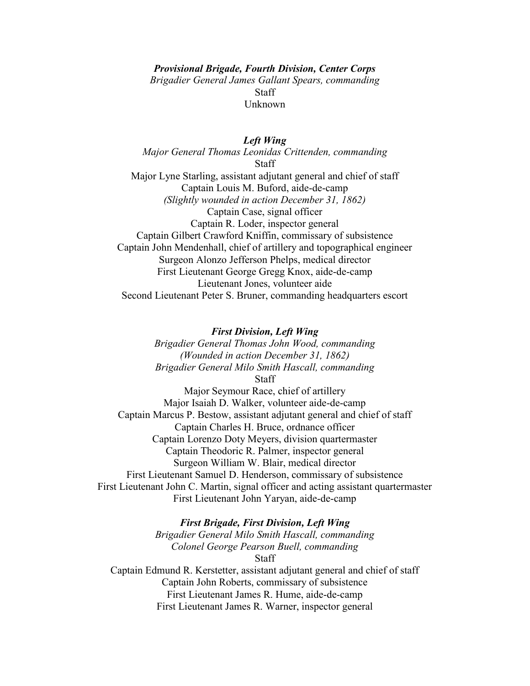*Provisional Brigade, Fourth Division, Center Corps Brigadier General James Gallant Spears, commanding* **Staff** Unknown

*Left Wing Major General Thomas Leonidas Crittenden, commanding* **Staff** Major Lyne Starling, assistant adjutant general and chief of staff Captain Louis M. Buford, aide-de-camp *(Slightly wounded in action December 31, 1862)* Captain Case, signal officer

Captain R. Loder, inspector general Captain Gilbert Crawford Kniffin, commissary of subsistence Captain John Mendenhall, chief of artillery and topographical engineer Surgeon Alonzo Jefferson Phelps, medical director First Lieutenant George Gregg Knox, aide-de-camp Lieutenant Jones, volunteer aide Second Lieutenant Peter S. Bruner, commanding headquarters escort

#### *First Division, Left Wing*

*Brigadier General Thomas John Wood, commanding (Wounded in action December 31, 1862) Brigadier General Milo Smith Hascall, commanding*

Staff

Major Seymour Race, chief of artillery Major Isaiah D. Walker, volunteer aide-de-camp Captain Marcus P. Bestow, assistant adjutant general and chief of staff Captain Charles H. Bruce, ordnance officer Captain Lorenzo Doty Meyers, division quartermaster Captain Theodoric R. Palmer, inspector general Surgeon William W. Blair, medical director First Lieutenant Samuel D. Henderson, commissary of subsistence First Lieutenant John C. Martin, signal officer and acting assistant quartermaster First Lieutenant John Yaryan, aide-de-camp

#### *First Brigade, First Division, Left Wing*

*Brigadier General Milo Smith Hascall, commanding Colonel George Pearson Buell, commanding* Staff Captain Edmund R. Kerstetter, assistant adjutant general and chief of staff

Captain John Roberts, commissary of subsistence First Lieutenant James R. Hume, aide-de-camp First Lieutenant James R. Warner, inspector general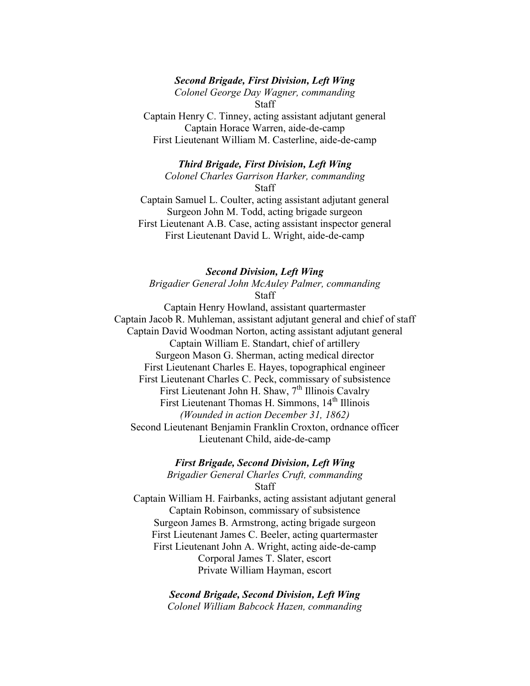#### *Second Brigade, First Division, Left Wing*

*Colonel George Day Wagner, commanding* Staff

Captain Henry C. Tinney, acting assistant adjutant general Captain Horace Warren, aide-de-camp First Lieutenant William M. Casterline, aide-de-camp

*Third Brigade, First Division, Left Wing Colonel Charles Garrison Harker, commanding* **Staff** 

Captain Samuel L. Coulter, acting assistant adjutant general Surgeon John M. Todd, acting brigade surgeon First Lieutenant A.B. Case, acting assistant inspector general First Lieutenant David L. Wright, aide-de-camp

#### *Second Division, Left Wing*

*Brigadier General John McAuley Palmer, commanding* **Staff** 

Captain Henry Howland, assistant quartermaster Captain Jacob R. Muhleman, assistant adjutant general and chief of staff Captain David Woodman Norton, acting assistant adjutant general Captain William E. Standart, chief of artillery Surgeon Mason G. Sherman, acting medical director First Lieutenant Charles E. Hayes, topographical engineer First Lieutenant Charles C. Peck, commissary of subsistence First Lieutenant John H. Shaw,  $7<sup>th</sup>$  Illinois Cavalry First Lieutenant Thomas H. Simmons, 14<sup>th</sup> Illinois *(Wounded in action December 31, 1862)* Second Lieutenant Benjamin Franklin Croxton, ordnance officer Lieutenant Child, aide-de-camp

*First Brigade, Second Division, Left Wing*

*Brigadier General Charles Cruft, commanding* Staff

Captain William H. Fairbanks, acting assistant adjutant general Captain Robinson, commissary of subsistence Surgeon James B. Armstrong, acting brigade surgeon First Lieutenant James C. Beeler, acting quartermaster First Lieutenant John A. Wright, acting aide-de-camp Corporal James T. Slater, escort Private William Hayman, escort

> *Second Brigade, Second Division, Left Wing Colonel William Babcock Hazen, commanding*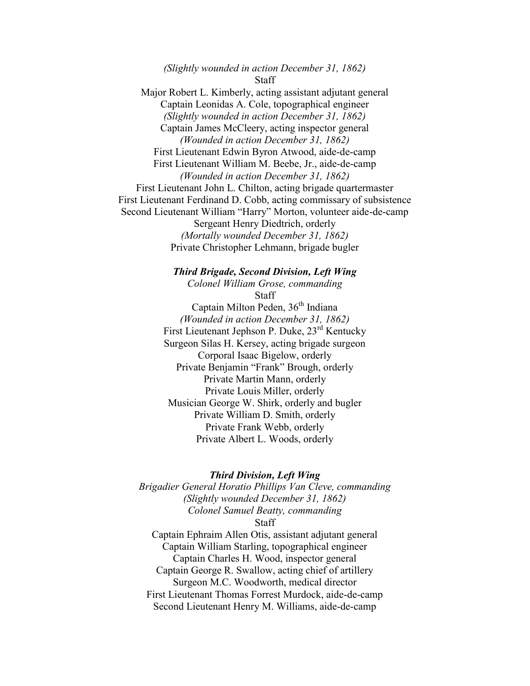*(Slightly wounded in action December 31, 1862)* **Staff** Major Robert L. Kimberly, acting assistant adjutant general Captain Leonidas A. Cole, topographical engineer *(Slightly wounded in action December 31, 1862)* Captain James McCleery, acting inspector general *(Wounded in action December 31, 1862)* First Lieutenant Edwin Byron Atwood, aide-de-camp First Lieutenant William M. Beebe, Jr., aide-de-camp *(Wounded in action December 31, 1862)* First Lieutenant John L. Chilton, acting brigade quartermaster First Lieutenant Ferdinand D. Cobb, acting commissary of subsistence Second Lieutenant William "Harry" Morton, volunteer aide-de-camp Sergeant Henry Diedtrich, orderly *(Mortally wounded December 31, 1862)* Private Christopher Lehmann, brigade bugler

> *Third Brigade, Second Division, Left Wing Colonel William Grose, commanding* **Staff** Captain Milton Peden, 36<sup>th</sup> Indiana *(Wounded in action December 31, 1862)* First Lieutenant Jephson P. Duke, 23rd Kentucky Surgeon Silas H. Kersey, acting brigade surgeon Corporal Isaac Bigelow, orderly Private Benjamin "Frank" Brough, orderly Private Martin Mann, orderly Private Louis Miller, orderly Musician George W. Shirk, orderly and bugler Private William D. Smith, orderly Private Frank Webb, orderly Private Albert L. Woods, orderly

#### *Third Division, Left Wing*

*Brigadier General Horatio Phillips Van Cleve, commanding (Slightly wounded December 31, 1862) Colonel Samuel Beatty, commanding* Staff Captain Ephraim Allen Otis, assistant adjutant general

Captain William Starling, topographical engineer Captain Charles H. Wood, inspector general Captain George R. Swallow, acting chief of artillery Surgeon M.C. Woodworth, medical director First Lieutenant Thomas Forrest Murdock, aide-de-camp Second Lieutenant Henry M. Williams, aide-de-camp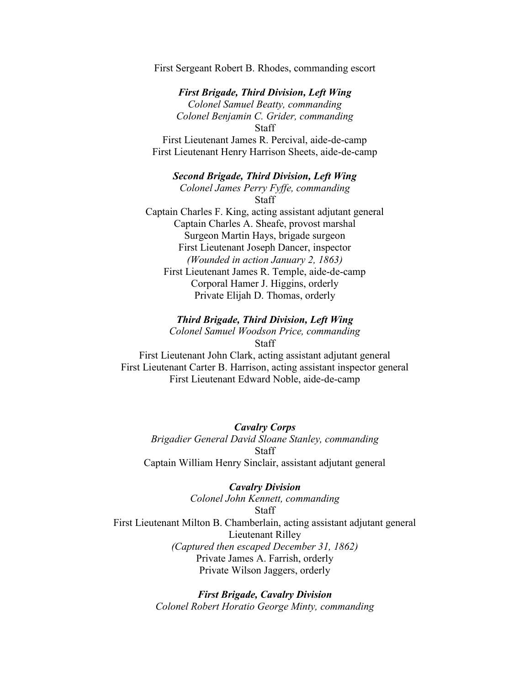First Sergeant Robert B. Rhodes, commanding escort

*First Brigade, Third Division, Left Wing Colonel Samuel Beatty, commanding Colonel Benjamin C. Grider, commanding* **Staff** 

First Lieutenant James R. Percival, aide-de-camp First Lieutenant Henry Harrison Sheets, aide-de-camp

*Second Brigade, Third Division, Left Wing Colonel James Perry Fyffe, commanding* **Staff** Captain Charles F. King, acting assistant adjutant general Captain Charles A. Sheafe, provost marshal Surgeon Martin Hays, brigade surgeon First Lieutenant Joseph Dancer, inspector *(Wounded in action January 2, 1863)* First Lieutenant James R. Temple, aide-de-camp Corporal Hamer J. Higgins, orderly Private Elijah D. Thomas, orderly

#### *Third Brigade, Third Division, Left Wing*

*Colonel Samuel Woodson Price, commanding* Staff

First Lieutenant John Clark, acting assistant adjutant general First Lieutenant Carter B. Harrison, acting assistant inspector general First Lieutenant Edward Noble, aide-de-camp

*Cavalry Corps Brigadier General David Sloane Stanley, commanding* Staff Captain William Henry Sinclair, assistant adjutant general

#### *Cavalry Division*

*Colonel John Kennett, commanding* **Staff** First Lieutenant Milton B. Chamberlain, acting assistant adjutant general Lieutenant Rilley *(Captured then escaped December 31, 1862)* Private James A. Farrish, orderly Private Wilson Jaggers, orderly

> *First Brigade, Cavalry Division Colonel Robert Horatio George Minty, commanding*